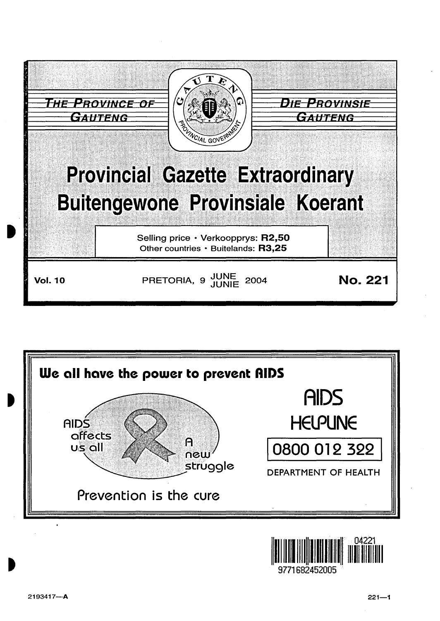



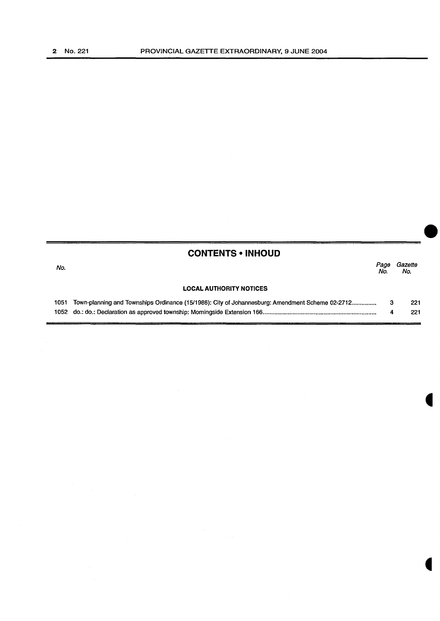|      | <b>CONTENTS • INHOUD</b>                                                                        |             |                |
|------|-------------------------------------------------------------------------------------------------|-------------|----------------|
| No.  |                                                                                                 | Page<br>No. | Gazette<br>No. |
|      | <b>LOCAL AUTHORITY NOTICES</b>                                                                  |             |                |
| 1051 | Town-planning and Townships Ordinance (15/1986): City of Johannesburg: Amendment Scheme 02-2712 | 3           | 221            |
|      |                                                                                                 | 4           | 221            |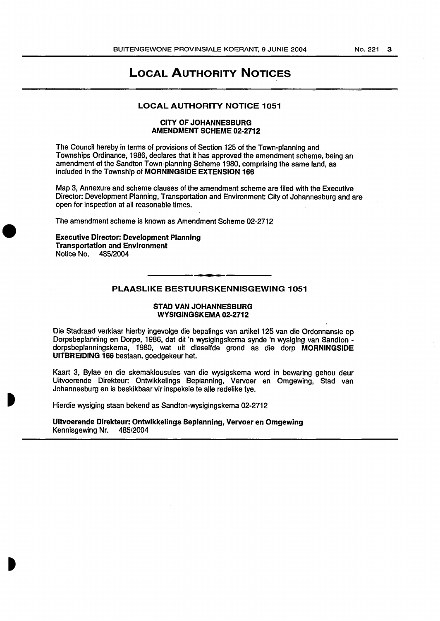# LOCAL AUTHORITY NOTICES

## LOCAL AUTHORITY NOTICE 1051

## CITY OF JOHANNESBURG AMENDMENT SCHEME 02-2712

The Council hereby in terms of provisions of Section 125 of the Town-planning and Townships Ordinance, 1986, declares that it has approved the amendment scheme, being an amendment of the Sandton Town-planning Scheme 1980, comprising the same land, as included in the Township of MORNINGSIDE EXTENSION 166

Map 3, Annexure and scheme clauses of the amendment scheme are filed with the Executive Director: Development Planning, Transportation and Environment: City of Johannesburg and are open for inspection at all reasonable times.

The amendment scheme is known as Amendment Scheme 02-2712

# Executive Director: Development Planning Transportation and Environment Notice No. 485/2004

# PLAASLIKE BESTUURSKENNISGEWING 1051

#### STAD VAN JOHANNESBURG WYSIGINGSKEMA 02-2712

Die Stadraad verklaar hierby ingevolge die bepalings van artikel 125 van die Ordonnansie op Dorpsbeplanning en Dorpe, 1986, dat dit 'n wysigingskema synde 'n wysiging van Sandton dorpsbeplanningskema, 1980, wat uit dieselfde grand as die dorp MORNINGSIDE UITBREIDING 166 bestaan, goedgekeur het.

Kaart 3, Bylae en die skemaklousules van die wysigskema word in bewaring gehou deur Uitvoerende Direkteur: Ontwikkelings Beplanning, Vervoer en Omgewing, Stad van Johannesburg en is beskikbaar vir inspeksie te aile redelike tye.

Hierdie wysiging staan bekend as Sandton-wysigingskema 02-2712

Uitvoerende Direkteur: Ontwlkkelings Beplannlng, Vervoer en Omgewing Kennisgewing Nr. 485/2004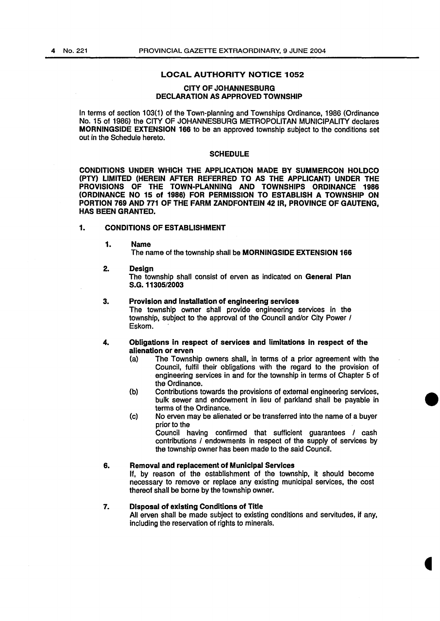#### LOCAL AUTHORITY NOTICE 1052

#### CITY OF JOHANNESBURG DECLARATION AS APPROVED TOWNSHIP

In terms of section 103(1) of the Town-planning and Townships Ordinance, 1986 (Ordinance No. 15 of 1986) the CITY OF JOHANNESBURG METROPOLITAN MUNICIPALITY declares MORNINGSIDE EXTENSION 166 to be an approved township subject to the conditions set out in the Schedule hereto.

#### **SCHEDULE**

CONDITIONS UNDER WHICH THE APPLICATION MADE BY SUMMERCON HOLDCO (PTY) LIMITED (HEREIN AFTER REFERRED TO AS THE APPLICANT) UNDER THE TOWN-PLANNING AND TOWNSHIPS ORDINANCE 1986 (ORDINANCE NO 15 of 1986) FOR PERMISSION TO ESTABLISH A TOWNSHIP ON PORTION 769 AND 771 OF THE FARM ZANDFONTEIN 42 IR, PROVINCE OF GAUTENG, HAS BEEN GRANTED.

#### 1. CONDITIONS OF ESTABLISHMENT

1. Name

The name of the township shall be MORNINGSIDE EXTENSION 166

2. Design

The township shall consist of erven as indicated on General Plan S.G.11305/2003

#### 3. Provision and Installation of engineering services

The township owner shall provide engineering services in the township, subject to the approval of the Council and/or City Power I Eskom.

# 4. Obligations in respect of services and limitations in respect of the alienation or erven<br>(a) The Townsh

- The Township owners shall, in terms of a prior agreement with the Council, fulfil their obligations with the regard to the provision of engineering services in and for the township in terms of Chapter 5 of the Ordinance.
- (b) Contributions towards the provisions of external engineering services, bulk sewer and endowment in lieu of parkland shall be payable in terms of the Ordinance.
- (c) No erven may be alienated or be transferred into the name of a buyer prior to the

Council having confirmed that sufficient guarantees I cash contributions I endowments in respect of the supply of services by the township owner has been made to the said Council.

## 6. Removal and replacement of Municipal Services

If, by reason of the establishment of the township, it should become necessary to remove or replace any existing municipal services, the cost thereof shall be borne by the township owner.

# 7. Disposal of existing Conditions of Title

All erven shall be made subject to existing conditions and servitudes, if any, including the reservation of rights to minerals.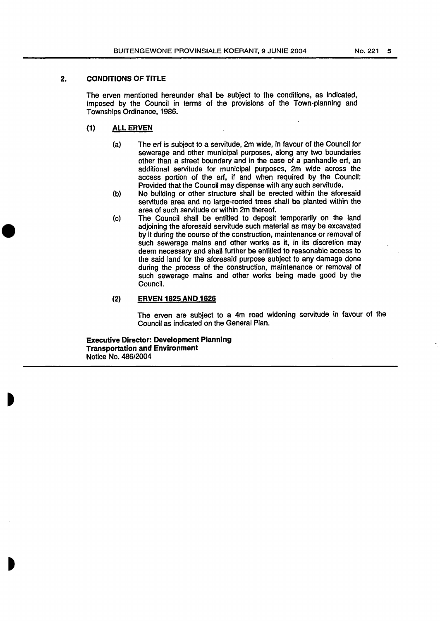# 2. CONDITIONS OF TITLE

The erven mentioned hereunder shall be subject to the conditions, as indicated, imposed by the Council in terms of the provisions of the Town-planning and Townships Ordinance, 1986.

# (1) ALL ERVEN

- (a} The erf is subject to a servitude, 2m wide, in favour of the Council for sewerage and other municipal purposes, along any two boundaries other than a street boundary and in the case of a panhandle erf, an additional servitude for municipal purposes, 2m wide across the access portion of the erf, if and when required by the Council: Provided that the Council may dispense with any such servitude.
- (b) No building or other structure shall be erected within the aforesaid servitude area and no large-rooted trees shall be planted within the area of such servitude or within 2m thereof.
- (c) The Council shall be entitled to deposit temporarily on the land adjoining the aforesaid servitude such material as may be excavated by it during the course of the construction, maintenance or removal of such sewerage mains and other works as it, in its discretion may deem necessary and shall further be entitled to reasonable access to the said land for the aforesaid purpose subject to any damage done during the process of the construction, maintenance or removal of such sewerage mains and other works being made good by the Council.

#### (2) ERVEN 1625 AND 1626

The erven are subject to a 4m road widening servitude in favour of the Council as indicated on the General Plan.

Executive Director: Development Planning Transportation and Environment Notice No. 486/2004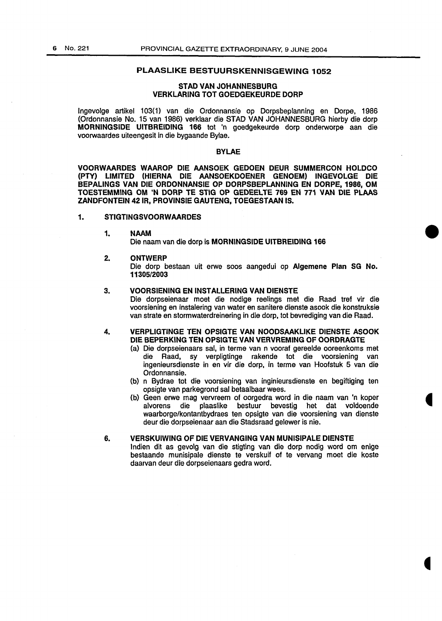# PLAASLIKE BESTUURSKENNISGEWING 1052

## STAD VAN JOHANNESBURG VERKLARING TOT GOEDGEKEURDE DORP

lngevolge artikel 1 03{1) van die Ordonnansie op Dorpsbeplanning en Dorpe, 1986 (Ordonnansie No. 15 van 1986) verklaar die STAD VAN JOHANNESBURG hierby die dorp MORNINGSIDE UITBREIDING 166 tot 'n goedgekeurde dorp onderworpe aan die voorwaardes uiteengesit in die bygaande Bylae.

## BYLAE

VOORWAARDES WAAROP DIE AANSOEK GEDOEN DEUR SUMMERCON HOLDCO (PTY) LIMITED (HIERNA DIE AANSOEKDOENER GENOEM) INGEVOLGE DIE BEPALINGS VAN DIE ORDONNANSIE OP DORPSBEPLANNING EN DORPE, 1986, OM TOESTEMMING OM 'N DORP TE STIG OP GEDEELTE 769 EN 771 VAN DIE PLAAS ZANDFONTEIN 421R, PROVINSIE GAUTENG, TOEGESTAAN IS.

# 1. STIGTINGSVOORWAARDES

#### 1. NAAM

Die naam van die dorp is MORNINGSIDE UITBREIDING 166

#### 2. ONTWERP

Die dorp bestaan uit erwe soos aangedui op Algemene Plan SG No. 11305/2003

#### 3. VOORSIENING EN INSTALLERING VAN DIENSTE

Die dorpseienaar moet die nodige reelings met die Raad tref vir die voorsiening en instalering van water en sanitere dienste asook die konstruksie van strata en stormwaterdreinering in die dorp, tot bevrediging van die Raad.

## 4. VERPLIGTINGE TEN OPSIGTE VAN NOODSAAKLIKE DIENSTE ASOOK DIE BEPERKING TEN OPSIGTE VAN VERVREMING OF OORDRAGTE

- (a) Die dorpseienaars sal, in terme van n vooraf gereelde ooreenkoms met die Raad, sy verpligtinge rakende tot die voorsiening van ingenieursdienste in en vir die dorp, in terme van Hoofstuk 5 van die Ordonnansie.
- (b) n Bydrae tot die voorsiening van inginieursdienste en begiftiging ten opsigte van parkegrond sal betaalbaar wees.
- {b) Geen erwe mag vervreem of oorgedra word in die naam van 'n koper alvorens die plaaslike bestuur bevestig het dat voldoende waarborge/kontantbydraes ten opsigte van die voorsiening van dienste deur die dorpseienaar aan die Stadsraad gelewer is nie.

#### 6. VERSKUIWING OF DIE VERVANGING VAN MUNISIPALE DIENSTE

lndien dit as gevolg van die stigting van die dorp nodig word om enige bestaande munisipale dienste te verskuif of te vervang moet die koste daarvan deur die dorpseienaars gedra word.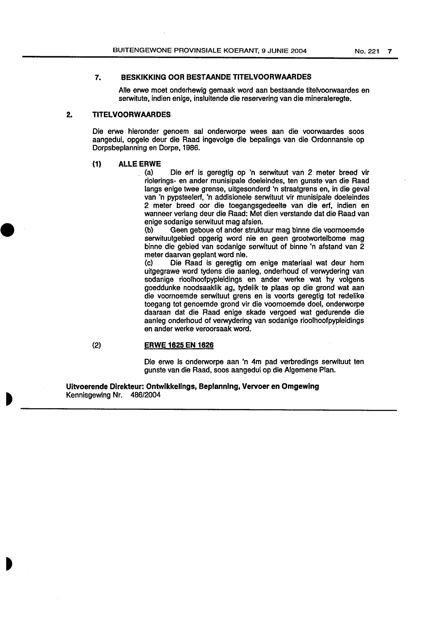# **7. BESKIKKING OOR BESTAANDE TITELVOORWAARDES**

Aile erwe moet onderhewig gemaak word aan bestaande titelvoorwaardes en serwitute, indien enige, insluitende die reservering van die mineraleregte.

# **2. TITELVOORWAARDES**

Die erwe hieronder genoem sal onderworpe wees aan die voorwaardes soos aangedui, opgele deur die Raad ingevolge die bepalings van die Ordonnansie op Dorpsbeplanning en Dorpe, 1986.

#### **{1) ALLE ERWE**

(a) Die erf is geregtig op 'n serwituut van 2 meter breed vir riolerings- en ander munisipale doeleindes, ten gunste van die Raad tangs enige twee grense, uitgesonderd 'n straatgrens en, in die geval van 'n pypsteelerf, 'n addisionele serwituut vir munisipale doeleindes 2 meter breed oar die toegangsgedeelte van die erf, indien en wanneer verlang deur die Raad: Met dien verstande dat die Raad van enige sodanige serwituut mag afsien.

(b) Geen geboue of ander struktuur mag binne die voornoemde serwituutgebied opgerig word nie en geen grootwortelbome mag binne die gebied van sodanige serwituut of binne 'n afstand van 2 meter daarvan geplant word nie.

(c) Die Raad is geregtig om enige materiaal wat deur hom uitgegrawe word tydens die aanleg, onderhoud of verwydering van sodanige rioolhoofpypleidings en ander werke wat hy volgens goeddunke noodsaaklik ag, tydelik te plaas op die grond wat aan die voornoemde serwituut grens en is voorts geregtig tot redelike toegang tot genoemde grond vir die voornoemde doel, onderworpe daaraan dat die Raad enige skade vergoed wat gedurende die aanleg onderhoud of verwydering van sodanige rioolhoofpypleidings en ander werke veroorsaak word.

# (2) **ERWE 1625 EN 1626**

Die erwe is onderworpe aan 'n 4m pad verbredings serwituut ten gunste van die Raad, soos aangedui op die Algemene Plan.

**Uitvoerende Direkteur: Ontwikkellngs, Beplannlng, Vervoer en Omgewing**  Kennisgewing Nr. 486/2004